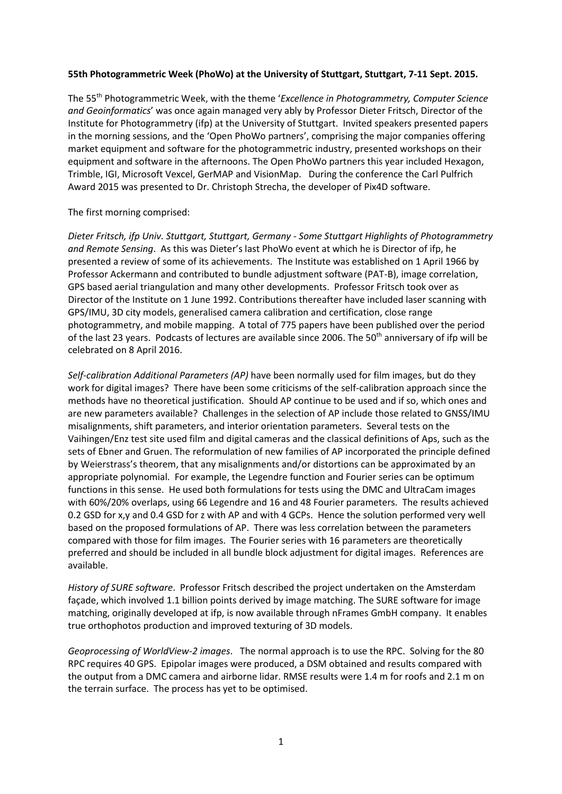### **55th Photogrammetric Week (PhoWo) at the University of Stuttgart, Stuttgart, 7-11 Sept. 2015.**

The 55 th Photogrammetric Week, with the theme '*Excellence in Photogrammetry, Computer Science and Geoinformatics*' was once again managed very ably by Professor Dieter Fritsch, Director of the Institute for Photogrammetry (ifp) at the University of Stuttgart. Invited speakers presented papers in the morning sessions, and the 'Open PhoWo partners', comprising the major companies offering market equipment and software for the photogrammetric industry, presented workshops on their equipment and software in the afternoons. The Open PhoWo partners this year included Hexagon, Trimble, IGI, Microsoft Vexcel, GerMAP and VisionMap. During the conference the Carl Pulfrich Award 2015 was presented to Dr. Christoph Strecha, the developer of Pix4D software.

#### The first morning comprised:

*Dieter Fritsch, ifp Univ. Stuttgart, Stuttgart, Germany - Some Stuttgart Highlights of Photogrammetry and Remote Sensing*. As this was Dieter's last PhoWo event at which he is Director of ifp, he presented a review of some of its achievements. The Institute was established on 1 April 1966 by Professor Ackermann and contributed to bundle adjustment software (PAT-B), image correlation, GPS based aerial triangulation and many other developments. Professor Fritsch took over as Director of the Institute on 1 June 1992. Contributions thereafter have included laser scanning with GPS/IMU, 3D city models, generalised camera calibration and certification, close range photogrammetry, and mobile mapping. A total of 775 papers have been published over the period of the last 23 years. Podcasts of lectures are available since 2006. The 50<sup>th</sup> anniversary of ifp will be celebrated on 8 April 2016.

*Self-calibration Additional Parameters (AP)* have been normally used for film images, but do they work for digital images? There have been some criticisms of the self-calibration approach since the methods have no theoretical justification. Should AP continue to be used and if so, which ones and are new parameters available? Challenges in the selection of AP include those related to GNSS/IMU misalignments, shift parameters, and interior orientation parameters. Several tests on the Vaihingen/Enz test site used film and digital cameras and the classical definitions of Aps, such as the sets of Ebner and Gruen. The reformulation of new families of AP incorporated the principle defined by Weierstrass's theorem, that any misalignments and/or distortions can be approximated by an appropriate polynomial. For example, the Legendre function and Fourier series can be optimum functions in this sense. He used both formulations for tests using the DMC and UltraCam images with 60%/20% overlaps, using 66 Legendre and 16 and 48 Fourier parameters. The results achieved 0.2 GSD for x,y and 0.4 GSD for z with AP and with 4 GCPs. Hence the solution performed very well based on the proposed formulations of AP. There was less correlation between the parameters compared with those for film images. The Fourier series with 16 parameters are theoretically preferred and should be included in all bundle block adjustment for digital images. References are available.

*History of SURE software*. Professor Fritsch described the project undertaken on the Amsterdam façade, which involved 1.1 billion points derived by image matching. The SURE software for image matching, originally developed at ifp, is now available through nFrames GmbH company. It enables true orthophotos production and improved texturing of 3D models.

*Geoprocessing of WorldView-2 images*. The normal approach is to use the RPC. Solving for the 80 RPC requires 40 GPS. Epipolar images were produced, a DSM obtained and results compared with the output from a DMC camera and airborne lidar. RMSE results were 1.4 m for roofs and 2.1 m on the terrain surface. The process has yet to be optimised.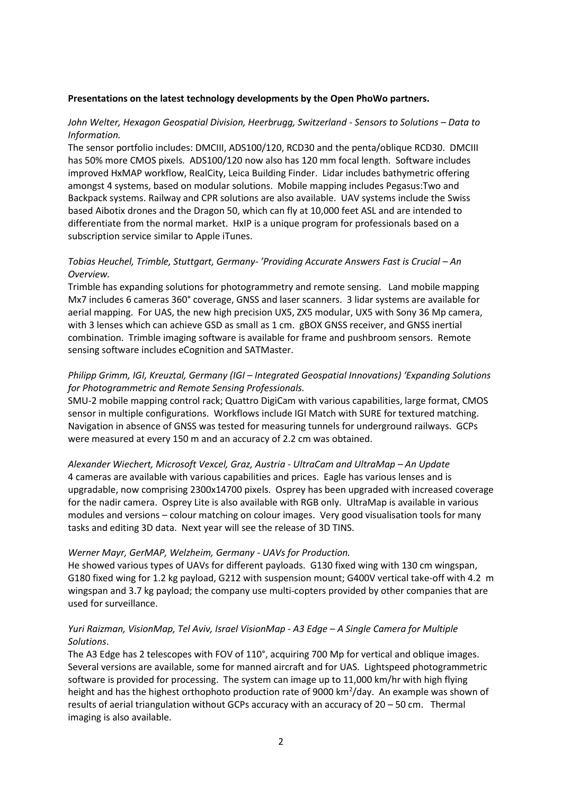#### **Presentations on the latest technology developments by the Open PhoWo partners.**

## *John Welter, Hexagon Geospatial Division, Heerbrugg, Switzerland - Sensors to Solutions – Data to Information.*

The sensor portfolio includes: DMCIII, ADS100/120, RCD30 and the penta/oblique RCD30. DMCIII has 50% more CMOS pixels. ADS100/120 now also has 120 mm focal length. Software includes improved HxMAP workflow, RealCity, Leica Building Finder. Lidar includes bathymetric offering amongst 4 systems, based on modular solutions. Mobile mapping includes Pegasus:Two and Backpack systems. Railway and CPR solutions are also available. UAV systems include the Swiss based Aibotix drones and the Dragon 50, which can fly at 10,000 feet ASL and are intended to differentiate from the normal market. HxIP is a unique program for professionals based on a subscription service similar to Apple iTunes.

## *Tobias Heuchel, Trimble, Stuttgart, Germany- 'Providing Accurate Answers Fast is Crucial – An Overview.*

Trimble has expanding solutions for photogrammetry and remote sensing. Land mobile mapping Mx7 includes 6 cameras 360° coverage, GNSS and laser scanners. 3 lidar systems are available for aerial mapping. For UAS, the new high precision UX5, ZX5 modular, UX5 with Sony 36 Mp camera, with 3 lenses which can achieve GSD as small as 1 cm. gBOX GNSS receiver, and GNSS inertial combination. Trimble imaging software is available for frame and pushbroom sensors. Remote sensing software includes eCognition and SATMaster.

# *Philipp Grimm, IGI, Kreuztal, Germany (IGI – Integrated Geospatial Innovations) 'Expanding Solutions for Photogrammetric and Remote Sensing Professionals.*

SMU-2 mobile mapping control rack; Quattro DigiCam with various capabilities, large format, CMOS sensor in multiple configurations. Workflows include IGI Match with SURE for textured matching. Navigation in absence of GNSS was tested for measuring tunnels for underground railways. GCPs were measured at every 150 m and an accuracy of 2.2 cm was obtained.

*Alexander Wiechert, Microsoft Vexcel, Graz, Austria - UltraCam and UltraMap – An Update* 4 cameras are available with various capabilities and prices. Eagle has various lenses and is upgradable, now comprising 2300x14700 pixels. Osprey has been upgraded with increased coverage for the nadir camera. Osprey Lite is also available with RGB only. UltraMap is available in various modules and versions – colour matching on colour images. Very good visualisation tools for many tasks and editing 3D data. Next year will see the release of 3D TINS.

### *Werner Mayr, GerMAP, Welzheim, Germany - UAVs for Production.*

He showed various types of UAVs for different payloads. G130 fixed wing with 130 cm wingspan, G180 fixed wing for 1.2 kg payload, G212 with suspension mount; G400V vertical take-off with 4.2 m wingspan and 3.7 kg payload; the company use multi-copters provided by other companies that are used for surveillance.

## *Yuri Raizman, VisionMap, Tel Aviv, Israel VisionMap - A3 Edge – A Single Camera for Multiple Solutions*.

The A3 Edge has 2 telescopes with FOV of 110°, acquiring 700 Mp for vertical and oblique images. Several versions are available, some for manned aircraft and for UAS. Lightspeed photogrammetric software is provided for processing. The system can image up to 11,000 km/hr with high flying height and has the highest orthophoto production rate of 9000 km<sup>2</sup>/day. An example was shown of results of aerial triangulation without GCPs accuracy with an accuracy of 20 – 50 cm. Thermal imaging is also available.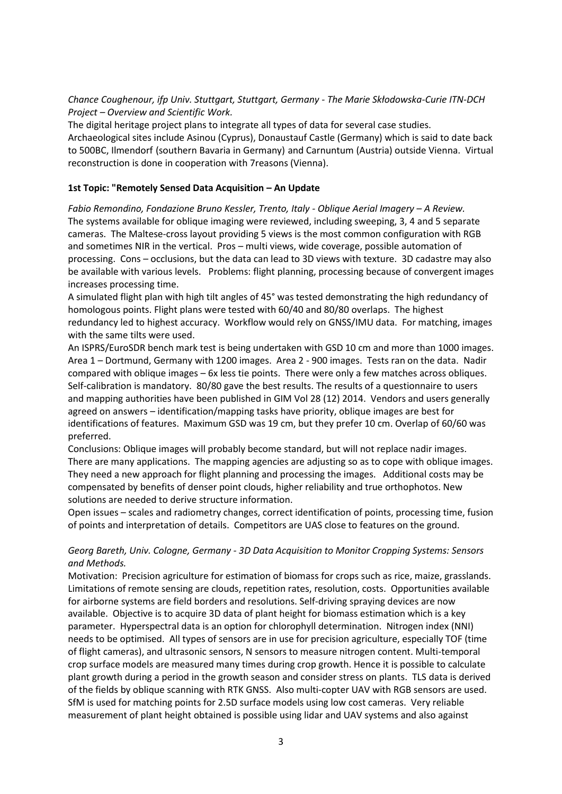## *Chance Coughenour, ifp Univ. Stuttgart, Stuttgart, Germany - The Marie Skłodowska-Curie ITN-DCH Project – Overview and Scientific Work.*

The digital heritage project plans to integrate all types of data for several case studies. Archaeological sites include Asinou (Cyprus), Donaustauf Castle (Germany) which is said to date back to 500BC, Ilmendorf (southern Bavaria in Germany) and Carnuntum (Austria) outside Vienna. Virtual reconstruction is done in cooperation with 7reasons (Vienna).

## **1st Topic: "Remotely Sensed Data Acquisition – An Update**

*Fabio Remondino, Fondazione Bruno Kessler, Trento, Italy - Oblique Aerial Imagery – A Review.* The systems available for oblique imaging were reviewed, including sweeping, 3, 4 and 5 separate cameras. The Maltese-cross layout providing 5 views is the most common configuration with RGB and sometimes NIR in the vertical. Pros – multi views, wide coverage, possible automation of processing. Cons – occlusions, but the data can lead to 3D views with texture. 3D cadastre may also be available with various levels. Problems: flight planning, processing because of convergent images increases processing time.

A simulated flight plan with high tilt angles of 45° was tested demonstrating the high redundancy of homologous points. Flight plans were tested with 60/40 and 80/80 overlaps. The highest redundancy led to highest accuracy. Workflow would rely on GNSS/IMU data. For matching, images with the same tilts were used.

An ISPRS/EuroSDR bench mark test is being undertaken with GSD 10 cm and more than 1000 images. Area 1 – Dortmund, Germany with 1200 images. Area 2 - 900 images. Tests ran on the data. Nadir compared with oblique images – 6x less tie points. There were only a few matches across obliques. Self-calibration is mandatory. 80/80 gave the best results. The results of a questionnaire to users and mapping authorities have been published in GIM Vol 28 (12) 2014. Vendors and users generally agreed on answers – identification/mapping tasks have priority, oblique images are best for identifications of features. Maximum GSD was 19 cm, but they prefer 10 cm. Overlap of 60/60 was preferred.

Conclusions: Oblique images will probably become standard, but will not replace nadir images. There are many applications. The mapping agencies are adjusting so as to cope with oblique images. They need a new approach for flight planning and processing the images. Additional costs may be compensated by benefits of denser point clouds, higher reliability and true orthophotos. New solutions are needed to derive structure information.

Open issues – scales and radiometry changes, correct identification of points, processing time, fusion of points and interpretation of details. Competitors are UAS close to features on the ground.

# *Georg Bareth, Univ. Cologne, Germany - 3D Data Acquisition to Monitor Cropping Systems: Sensors and Methods.*

Motivation: Precision agriculture for estimation of biomass for crops such as rice, maize, grasslands. Limitations of remote sensing are clouds, repetition rates, resolution, costs. Opportunities available for airborne systems are field borders and resolutions. Self-driving spraying devices are now available. Objective is to acquire 3D data of plant height for biomass estimation which is a key parameter. Hyperspectral data is an option for chlorophyll determination. Nitrogen index (NNI) needs to be optimised. All types of sensors are in use for precision agriculture, especially TOF (time of flight cameras), and ultrasonic sensors, N sensors to measure nitrogen content. Multi-temporal crop surface models are measured many times during crop growth. Hence it is possible to calculate plant growth during a period in the growth season and consider stress on plants. TLS data is derived of the fields by oblique scanning with RTK GNSS. Also multi-copter UAV with RGB sensors are used. SfM is used for matching points for 2.5D surface models using low cost cameras. Very reliable measurement of plant height obtained is possible using lidar and UAV systems and also against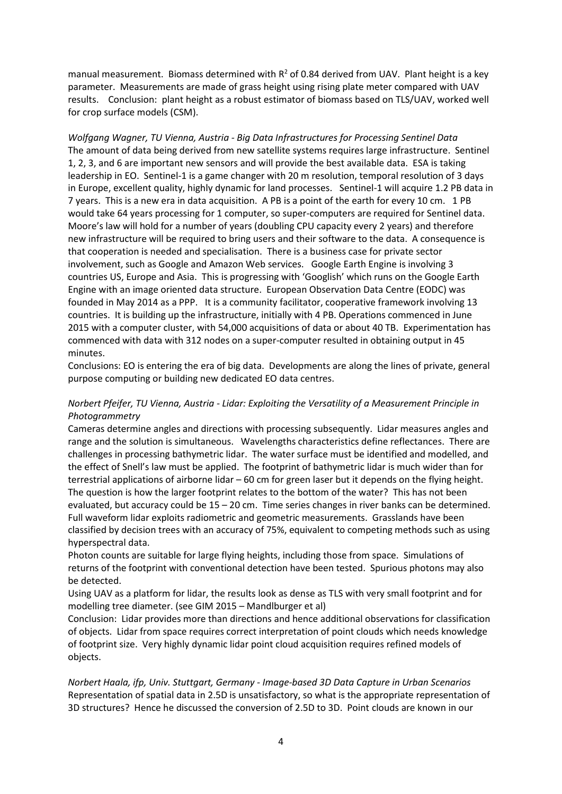manual measurement. Biomass determined with  $R^2$  of 0.84 derived from UAV. Plant height is a key parameter. Measurements are made of grass height using rising plate meter compared with UAV results. Conclusion: plant height as a robust estimator of biomass based on TLS/UAV, worked well for crop surface models (CSM).

*Wolfgang Wagner, TU Vienna, Austria - Big Data Infrastructures for Processing Sentinel Data* The amount of data being derived from new satellite systems requires large infrastructure. Sentinel 1, 2, 3, and 6 are important new sensors and will provide the best available data. ESA is taking leadership in EO. Sentinel-1 is a game changer with 20 m resolution, temporal resolution of 3 days in Europe, excellent quality, highly dynamic for land processes. Sentinel-1 will acquire 1.2 PB data in 7 years. This is a new era in data acquisition. A PB is a point of the earth for every 10 cm. 1 PB would take 64 years processing for 1 computer, so super-computers are required for Sentinel data. Moore's law will hold for a number of years (doubling CPU capacity every 2 years) and therefore new infrastructure will be required to bring users and their software to the data. A consequence is that cooperation is needed and specialisation. There is a business case for private sector involvement, such as Google and Amazon Web services. Google Earth Engine is involving 3 countries US, Europe and Asia. This is progressing with 'Googlish' which runs on the Google Earth Engine with an image oriented data structure. European Observation Data Centre (EODC) was founded in May 2014 as a PPP. It is a community facilitator, cooperative framework involving 13 countries. It is building up the infrastructure, initially with 4 PB. Operations commenced in June 2015 with a computer cluster, with 54,000 acquisitions of data or about 40 TB. Experimentation has commenced with data with 312 nodes on a super-computer resulted in obtaining output in 45 minutes.

Conclusions: EO is entering the era of big data. Developments are along the lines of private, general purpose computing or building new dedicated EO data centres.

### *Norbert Pfeifer, TU Vienna, Austria - Lidar: Exploiting the Versatility of a Measurement Principle in Photogrammetry*

Cameras determine angles and directions with processing subsequently. Lidar measures angles and range and the solution is simultaneous. Wavelengths characteristics define reflectances. There are challenges in processing bathymetric lidar. The water surface must be identified and modelled, and the effect of Snell's law must be applied. The footprint of bathymetric lidar is much wider than for terrestrial applications of airborne lidar – 60 cm for green laser but it depends on the flying height. The question is how the larger footprint relates to the bottom of the water? This has not been evaluated, but accuracy could be 15 – 20 cm. Time series changes in river banks can be determined. Full waveform lidar exploits radiometric and geometric measurements. Grasslands have been classified by decision trees with an accuracy of 75%, equivalent to competing methods such as using hyperspectral data.

Photon counts are suitable for large flying heights, including those from space. Simulations of returns of the footprint with conventional detection have been tested. Spurious photons may also be detected.

Using UAV as a platform for lidar, the results look as dense as TLS with very small footprint and for modelling tree diameter. (see GIM 2015 – Mandlburger et al)

Conclusion: Lidar provides more than directions and hence additional observations for classification of objects. Lidar from space requires correct interpretation of point clouds which needs knowledge of footprint size. Very highly dynamic lidar point cloud acquisition requires refined models of objects.

*Norbert Haala, ifp, Univ. Stuttgart, Germany - Image-based 3D Data Capture in Urban Scenarios* Representation of spatial data in 2.5D is unsatisfactory, so what is the appropriate representation of 3D structures? Hence he discussed the conversion of 2.5D to 3D. Point clouds are known in our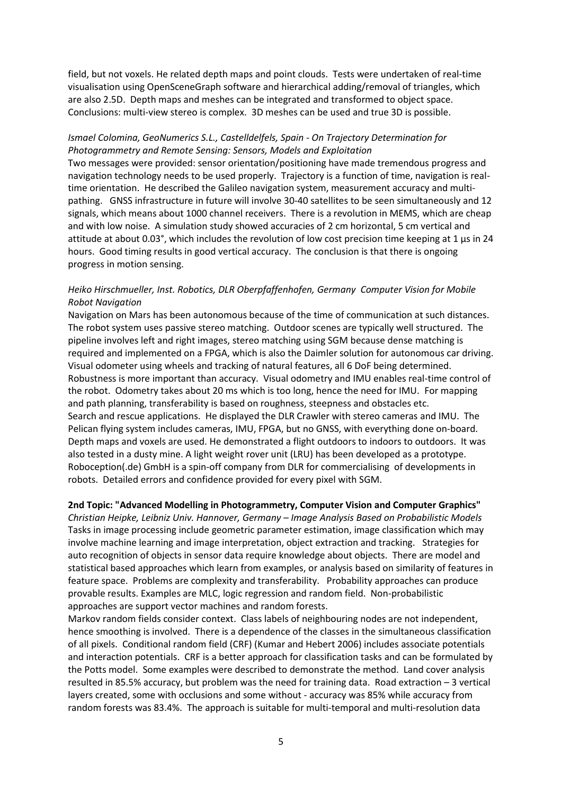field, but not voxels. He related depth maps and point clouds. Tests were undertaken of real-time visualisation using OpenSceneGraph software and hierarchical adding/removal of triangles, which are also 2.5D. Depth maps and meshes can be integrated and transformed to object space. Conclusions: multi-view stereo is complex. 3D meshes can be used and true 3D is possible.

### *Ismael Colomina, GeoNumerics S.L., Castelldelfels, Spain - On Trajectory Determination for Photogrammetry and Remote Sensing: Sensors, Models and Exploitation*

Two messages were provided: sensor orientation/positioning have made tremendous progress and navigation technology needs to be used properly. Trajectory is a function of time, navigation is realtime orientation. He described the Galileo navigation system, measurement accuracy and multipathing. GNSS infrastructure in future will involve 30-40 satellites to be seen simultaneously and 12 signals, which means about 1000 channel receivers. There is a revolution in MEMS, which are cheap and with low noise. A simulation study showed accuracies of 2 cm horizontal, 5 cm vertical and attitude at about 0.03°, which includes the revolution of low cost precision time keeping at 1 μs in 24 hours. Good timing results in good vertical accuracy. The conclusion is that there is ongoing progress in motion sensing.

## *Heiko Hirschmueller, Inst. Robotics, DLR Oberpfaffenhofen, Germany Computer Vision for Mobile Robot Navigation*

Navigation on Mars has been autonomous because of the time of communication at such distances. The robot system uses passive stereo matching. Outdoor scenes are typically well structured. The pipeline involves left and right images, stereo matching using SGM because dense matching is required and implemented on a FPGA, which is also the Daimler solution for autonomous car driving. Visual odometer using wheels and tracking of natural features, all 6 DoF being determined. Robustness is more important than accuracy. Visual odometry and IMU enables real-time control of the robot. Odometry takes about 20 ms which is too long, hence the need for IMU. For mapping and path planning, transferability is based on roughness, steepness and obstacles etc. Search and rescue applications. He displayed the DLR Crawler with stereo cameras and IMU. The Pelican flying system includes cameras, IMU, FPGA, but no GNSS, with everything done on-board. Depth maps and voxels are used. He demonstrated a flight outdoors to indoors to outdoors. It was also tested in a dusty mine. A light weight rover unit (LRU) has been developed as a prototype. Roboception(.de) GmbH is a spin-off company from DLR for commercialising of developments in robots. Detailed errors and confidence provided for every pixel with SGM.

### **2nd Topic: "Advanced Modelling in Photogrammetry, Computer Vision and Computer Graphics"**

*Christian Heipke, Leibniz Univ. Hannover, Germany – Image Analysis Based on Probabilistic Models* Tasks in image processing include geometric parameter estimation, image classification which may involve machine learning and image interpretation, object extraction and tracking. Strategies for auto recognition of objects in sensor data require knowledge about objects. There are model and statistical based approaches which learn from examples, or analysis based on similarity of features in feature space. Problems are complexity and transferability. Probability approaches can produce provable results. Examples are MLC, logic regression and random field. Non-probabilistic approaches are support vector machines and random forests.

Markov random fields consider context. Class labels of neighbouring nodes are not independent, hence smoothing is involved. There is a dependence of the classes in the simultaneous classification of all pixels. Conditional random field (CRF) (Kumar and Hebert 2006) includes associate potentials and interaction potentials. CRF is a better approach for classification tasks and can be formulated by the Potts model. Some examples were described to demonstrate the method. Land cover analysis resulted in 85.5% accuracy, but problem was the need for training data. Road extraction – 3 vertical layers created, some with occlusions and some without - accuracy was 85% while accuracy from random forests was 83.4%. The approach is suitable for multi-temporal and multi-resolution data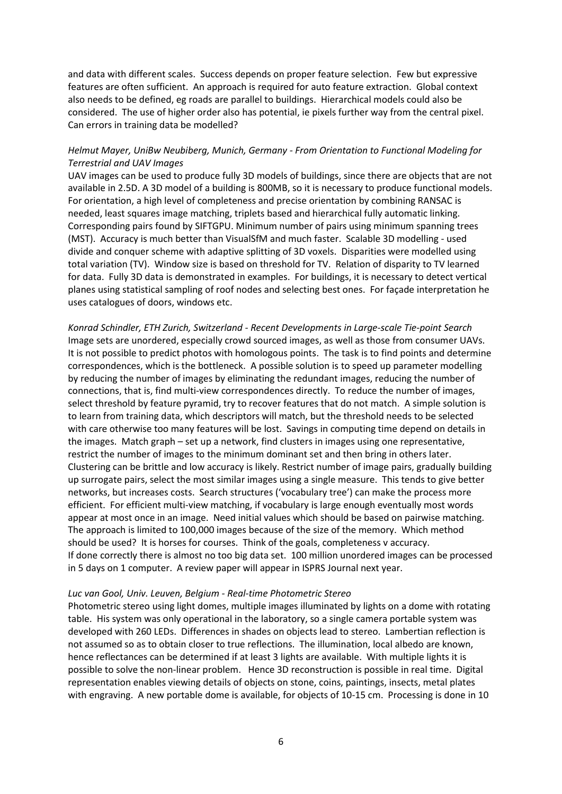and data with different scales. Success depends on proper feature selection. Few but expressive features are often sufficient. An approach is required for auto feature extraction. Global context also needs to be defined, eg roads are parallel to buildings. Hierarchical models could also be considered. The use of higher order also has potential, ie pixels further way from the central pixel. Can errors in training data be modelled?

## *Helmut Mayer, UniBw Neubiberg, Munich, Germany - From Orientation to Functional Modeling for Terrestrial and UAV Images*

UAV images can be used to produce fully 3D models of buildings, since there are objects that are not available in 2.5D. A 3D model of a building is 800MB, so it is necessary to produce functional models. For orientation, a high level of completeness and precise orientation by combining RANSAC is needed, least squares image matching, triplets based and hierarchical fully automatic linking. Corresponding pairs found by SIFTGPU. Minimum number of pairs using minimum spanning trees (MST). Accuracy is much better than VisualSfM and much faster. Scalable 3D modelling - used divide and conquer scheme with adaptive splitting of 3D voxels. Disparities were modelled using total variation (TV). Window size is based on threshold for TV. Relation of disparity to TV learned for data. Fully 3D data is demonstrated in examples. For buildings, it is necessary to detect vertical planes using statistical sampling of roof nodes and selecting best ones. For façade interpretation he uses catalogues of doors, windows etc.

*Konrad Schindler, ETH Zurich, Switzerland - Recent Developments in Large-scale Tie-point Search* Image sets are unordered, especially crowd sourced images, as well as those from consumer UAVs. It is not possible to predict photos with homologous points. The task is to find points and determine correspondences, which is the bottleneck. A possible solution is to speed up parameter modelling by reducing the number of images by eliminating the redundant images, reducing the number of connections, that is, find multi-view correspondences directly. To reduce the number of images, select threshold by feature pyramid, try to recover features that do not match. A simple solution is to learn from training data, which descriptors will match, but the threshold needs to be selected with care otherwise too many features will be lost. Savings in computing time depend on details in the images. Match graph – set up a network, find clusters in images using one representative, restrict the number of images to the minimum dominant set and then bring in others later. Clustering can be brittle and low accuracy is likely. Restrict number of image pairs, gradually building up surrogate pairs, select the most similar images using a single measure. This tends to give better networks, but increases costs. Search structures ('vocabulary tree') can make the process more efficient. For efficient multi-view matching, if vocabulary is large enough eventually most words appear at most once in an image. Need initial values which should be based on pairwise matching. The approach is limited to 100,000 images because of the size of the memory. Which method should be used? It is horses for courses. Think of the goals, completeness v accuracy. If done correctly there is almost no too big data set. 100 million unordered images can be processed in 5 days on 1 computer. A review paper will appear in ISPRS Journal next year.

#### *Luc van Gool, Univ. Leuven, Belgium - Real-time Photometric Stereo*

Photometric stereo using light domes, multiple images illuminated by lights on a dome with rotating table. His system was only operational in the laboratory, so a single camera portable system was developed with 260 LEDs. Differences in shades on objects lead to stereo. Lambertian reflection is not assumed so as to obtain closer to true reflections. The illumination, local albedo are known, hence reflectances can be determined if at least 3 lights are available. With multiple lights it is possible to solve the non-linear problem. Hence 3D reconstruction is possible in real time. Digital representation enables viewing details of objects on stone, coins, paintings, insects, metal plates with engraving. A new portable dome is available, for objects of 10-15 cm. Processing is done in 10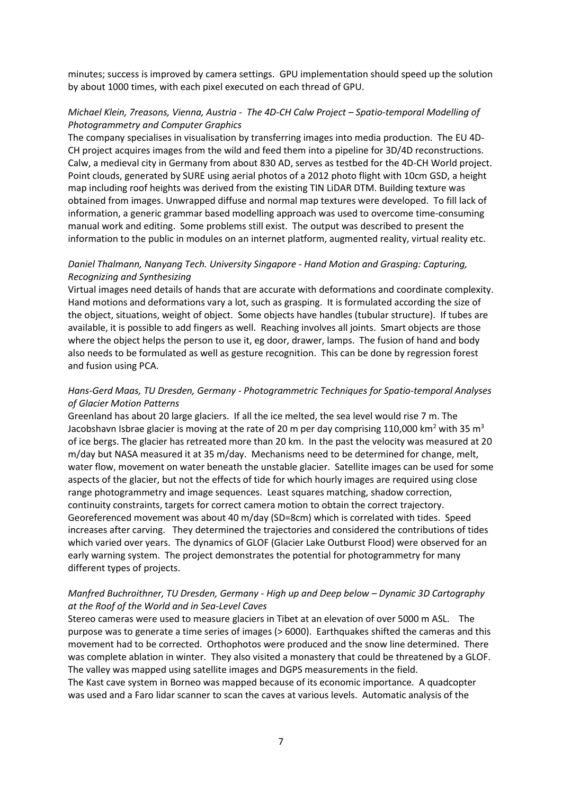minutes; success is improved by camera settings. GPU implementation should speed up the solution by about 1000 times, with each pixel executed on each thread of GPU.

# *Michael Klein, 7reasons, Vienna, Austria - The 4D-CH Calw Project – Spatio-temporal Modelling of Photogrammetry and Computer Graphics*

The company specialises in visualisation by transferring images into media production. The EU 4D-CH project acquires images from the wild and feed them into a pipeline for 3D/4D reconstructions. Calw, a medieval city in Germany from about 830 AD, serves as testbed for the 4D-CH World project. Point clouds, generated by SURE using aerial photos of a 2012 photo flight with 10cm GSD, a height map including roof heights was derived from the existing TIN LiDAR DTM. Building texture was obtained from images. Unwrapped diffuse and normal map textures were developed. To fill lack of information, a generic grammar based modelling approach was used to overcome time-consuming manual work and editing. Some problems still exist. The output was described to present the information to the public in modules on an internet platform, augmented reality, virtual reality etc.

## *Daniel Thalmann, Nanyang Tech. University Singapore - Hand Motion and Grasping: Capturing, Recognizing and Synthesizing*

Virtual images need details of hands that are accurate with deformations and coordinate complexity. Hand motions and deformations vary a lot, such as grasping. It is formulated according the size of the object, situations, weight of object. Some objects have handles (tubular structure). If tubes are available, it is possible to add fingers as well. Reaching involves all joints. Smart objects are those where the object helps the person to use it, eg door, drawer, lamps. The fusion of hand and body also needs to be formulated as well as gesture recognition. This can be done by regression forest and fusion using PCA.

## *Hans-Gerd Maas, TU Dresden, Germany - Photogrammetric Techniques for Spatio-temporal Analyses of Glacier Motion Patterns*

Greenland has about 20 large glaciers. If all the ice melted, the sea level would rise 7 m. The Jacobshavn Isbrae glacier is moving at the rate of 20 m per day comprising 110,000 km<sup>2</sup> with 35 m<sup>3</sup> of ice bergs. The glacier has retreated more than 20 km. In the past the velocity was measured at 20 m/day but NASA measured it at 35 m/day. Mechanisms need to be determined for change, melt, water flow, movement on water beneath the unstable glacier. Satellite images can be used for some aspects of the glacier, but not the effects of tide for which hourly images are required using close range photogrammetry and image sequences. Least squares matching, shadow correction, continuity constraints, targets for correct camera motion to obtain the correct trajectory. Georeferenced movement was about 40 m/day (SD=8cm) which is correlated with tides. Speed increases after carving. They determined the trajectories and considered the contributions of tides which varied over years. The dynamics of GLOF (Glacier Lake Outburst Flood) were observed for an early warning system. The project demonstrates the potential for photogrammetry for many different types of projects.

## *Manfred Buchroithner, TU Dresden, Germany - High up and Deep below – Dynamic 3D Cartography at the Roof of the World and in Sea-Level Caves*

Stereo cameras were used to measure glaciers in Tibet at an elevation of over 5000 m ASL. The purpose was to generate a time series of images (> 6000). Earthquakes shifted the cameras and this movement had to be corrected. Orthophotos were produced and the snow line determined. There was complete ablation in winter. They also visited a monastery that could be threatened by a GLOF. The valley was mapped using satellite images and DGPS measurements in the field.

The Kast cave system in Borneo was mapped because of its economic importance. A quadcopter was used and a Faro lidar scanner to scan the caves at various levels. Automatic analysis of the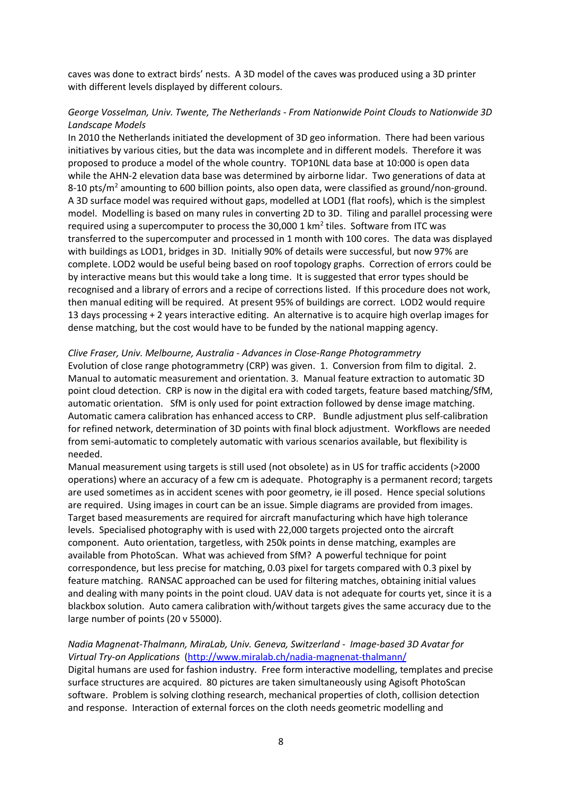caves was done to extract birds' nests. A 3D model of the caves was produced using a 3D printer with different levels displayed by different colours.

### *George Vosselman, Univ. Twente, The Netherlands - From Nationwide Point Clouds to Nationwide 3D Landscape Models*

In 2010 the Netherlands initiated the development of 3D geo information. There had been various initiatives by various cities, but the data was incomplete and in different models. Therefore it was proposed to produce a model of the whole country. TOP10NL data base at 10:000 is open data while the AHN-2 elevation data base was determined by airborne lidar. Two generations of data at 8-10 pts/m<sup>2</sup> amounting to 600 billion points, also open data, were classified as ground/non-ground. A 3D surface model was required without gaps, modelled at LOD1 (flat roofs), which is the simplest model. Modelling is based on many rules in converting 2D to 3D. Tiling and parallel processing were required using a supercomputer to process the 30,000 1  $km<sup>2</sup>$  tiles. Software from ITC was transferred to the supercomputer and processed in 1 month with 100 cores. The data was displayed with buildings as LOD1, bridges in 3D. Initially 90% of details were successful, but now 97% are complete. LOD2 would be useful being based on roof topology graphs. Correction of errors could be by interactive means but this would take a long time. It is suggested that error types should be recognised and a library of errors and a recipe of corrections listed. If this procedure does not work, then manual editing will be required. At present 95% of buildings are correct. LOD2 would require 13 days processing + 2 years interactive editing. An alternative is to acquire high overlap images for dense matching, but the cost would have to be funded by the national mapping agency.

#### *Clive Fraser, Univ. Melbourne, Australia - Advances in Close-Range Photogrammetry*

Evolution of close range photogrammetry (CRP) was given. 1. Conversion from film to digital. 2. Manual to automatic measurement and orientation. 3. Manual feature extraction to automatic 3D point cloud detection. CRP is now in the digital era with coded targets, feature based matching/SfM, automatic orientation. SfM is only used for point extraction followed by dense image matching. Automatic camera calibration has enhanced access to CRP. Bundle adjustment plus self-calibration for refined network, determination of 3D points with final block adjustment. Workflows are needed from semi-automatic to completely automatic with various scenarios available, but flexibility is needed.

Manual measurement using targets is still used (not obsolete) as in US for traffic accidents (>2000 operations) where an accuracy of a few cm is adequate. Photography is a permanent record; targets are used sometimes as in accident scenes with poor geometry, ie ill posed. Hence special solutions are required. Using images in court can be an issue. Simple diagrams are provided from images. Target based measurements are required for aircraft manufacturing which have high tolerance levels. Specialised photography with is used with 22,000 targets projected onto the aircraft component. Auto orientation, targetless, with 250k points in dense matching, examples are available from PhotoScan. What was achieved from SfM? A powerful technique for point correspondence, but less precise for matching, 0.03 pixel for targets compared with 0.3 pixel by feature matching. RANSAC approached can be used for filtering matches, obtaining initial values and dealing with many points in the point cloud. UAV data is not adequate for courts yet, since it is a blackbox solution. Auto camera calibration with/without targets gives the same accuracy due to the large number of points (20 v 55000).

## *Nadia Magnenat-Thalmann, MiraLab, Univ. Geneva, Switzerland - Image-based 3D Avatar for Virtual Try-on Applications* [\(http://www.miralab.ch/nadia-magnenat-thalmann/](http://www.miralab.ch/nadia-magnenat-thalmann/)

Digital humans are used for fashion industry. Free form interactive modelling, templates and precise surface structures are acquired. 80 pictures are taken simultaneously using Agisoft PhotoScan software. Problem is solving clothing research, mechanical properties of cloth, collision detection and response. Interaction of external forces on the cloth needs geometric modelling and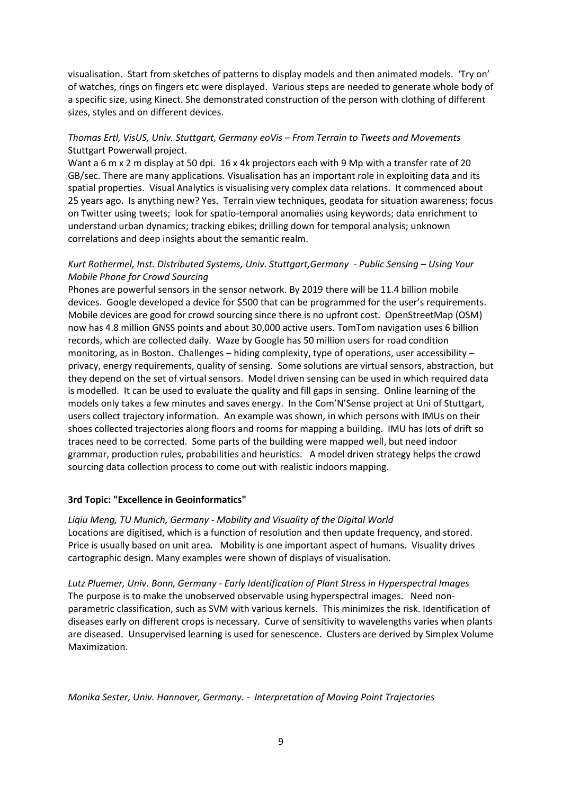visualisation. Start from sketches of patterns to display models and then animated models. 'Try on' of watches, rings on fingers etc were displayed. Various steps are needed to generate whole body of a specific size, using Kinect. She demonstrated construction of the person with clothing of different sizes, styles and on different devices.

# *Thomas Ertl, VisUS, Univ. Stuttgart, Germany eoVis – From Terrain to Tweets and Movements* Stuttgart Powerwall project.

Want a 6 m x 2 m display at 50 dpi. 16 x 4k projectors each with 9 Mp with a transfer rate of 20 GB/sec. There are many applications. Visualisation has an important role in exploiting data and its spatial properties. Visual Analytics is visualising very complex data relations. It commenced about 25 years ago. Is anything new? Yes. Terrain view techniques, geodata for situation awareness; focus on Twitter using tweets; look for spatio-temporal anomalies using keywords; data enrichment to understand urban dynamics; tracking ebikes; drilling down for temporal analysis; unknown correlations and deep insights about the semantic realm.

# *Kurt Rothermel, Inst. Distributed Systems, Univ. Stuttgart,Germany - Public Sensing – Using Your Mobile Phone for Crowd Sourcing*

Phones are powerful sensors in the sensor network. By 2019 there will be 11.4 billion mobile devices. Google developed a device for \$500 that can be programmed for the user's requirements. Mobile devices are good for crowd sourcing since there is no upfront cost. OpenStreetMap (OSM) now has 4.8 million GNSS points and about 30,000 active users. TomTom navigation uses 6 billion records, which are collected daily. Waze by Google has 50 million users for road condition monitoring, as in Boston. Challenges – hiding complexity, type of operations, user accessibility – privacy, energy requirements, quality of sensing. Some solutions are virtual sensors, abstraction, but they depend on the set of virtual sensors. Model driven sensing can be used in which required data is modelled. It can be used to evaluate the quality and fill gaps in sensing. Online learning of the models only takes a few minutes and saves energy. In the Com'N'Sense project at Uni of Stuttgart, users collect trajectory information. An example was shown, in which persons with IMUs on their shoes collected trajectories along floors and rooms for mapping a building. IMU has lots of drift so traces need to be corrected. Some parts of the building were mapped well, but need indoor grammar, production rules, probabilities and heuristics. A model driven strategy helps the crowd sourcing data collection process to come out with realistic indoors mapping.

# **3rd Topic: "Excellence in Geoinformatics"**

*Liqiu Meng, TU Munich, Germany - Mobility and Visuality of the Digital World* Locations are digitised, which is a function of resolution and then update frequency, and stored. Price is usually based on unit area. Mobility is one important aspect of humans. Visuality drives cartographic design. Many examples were shown of displays of visualisation.

*Lutz Pluemer, Univ. Bonn, Germany - Early Identification of Plant Stress in Hyperspectral Images* The purpose is to make the unobserved observable using hyperspectral images. Need nonparametric classification, such as SVM with various kernels. This minimizes the risk. Identification of diseases early on different crops is necessary. Curve of sensitivity to wavelengths varies when plants are diseased. Unsupervised learning is used for senescence. Clusters are derived by Simplex Volume Maximization.

*Monika Sester, Univ. Hannover, Germany. - Interpretation of Moving Point Trajectories*